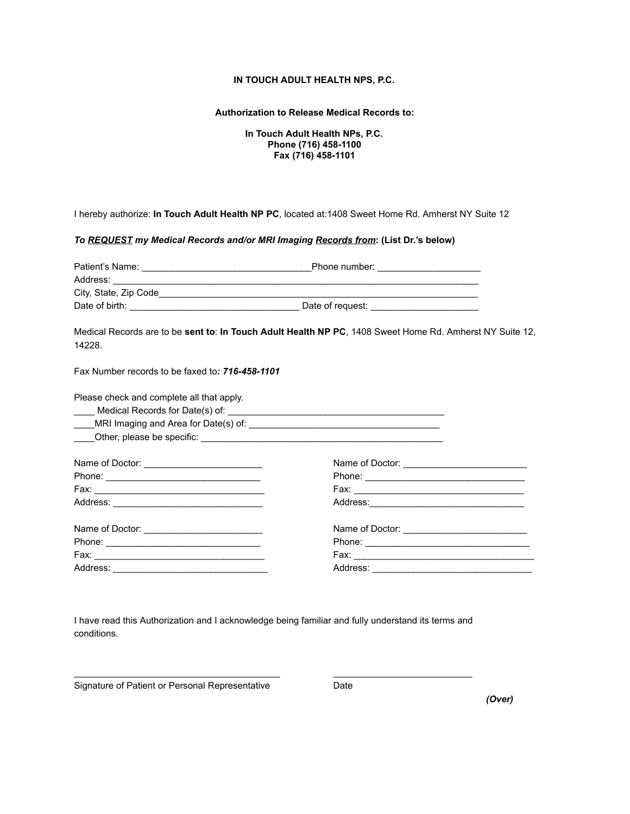## **IN TOUCH ADULT HEALTH NPS, P.C.**

## **Authorization to Release Medical Records to:**

**In Touch Adult Health NPs, P.C. Phone (716) 458-1100 Fax (716) 458-1101**

I hereby authorize: **In Touch Adult Health NP PC** , located at:1408 Sweet Home Rd. Amherst NY Suite 12

*To REQUESTmy Medical Records and/or MRI Imaging Records from* **: (List Dr.'s below)**

| Address: <u>Address:</u> Address: Address: Address: Address: Address: Address: Address: Address: Address: Address: Address: Address: Address: Address: Address: Address: Address: Address: Address: Address: Address: Address: Addr |                                                 |  |
|-------------------------------------------------------------------------------------------------------------------------------------------------------------------------------------------------------------------------------------|-------------------------------------------------|--|
|                                                                                                                                                                                                                                     |                                                 |  |
|                                                                                                                                                                                                                                     |                                                 |  |
| Medical Records are to be sent to: In Touch Adult Health NP PC, 1408 Sweet Home Rd. Amherst NY Suite 12,<br>14228.                                                                                                                  |                                                 |  |
| Fax Number records to be faxed to: 716-458-1101                                                                                                                                                                                     |                                                 |  |
| Please check and complete all that apply.                                                                                                                                                                                           |                                                 |  |
|                                                                                                                                                                                                                                     |                                                 |  |
|                                                                                                                                                                                                                                     |                                                 |  |
|                                                                                                                                                                                                                                     |                                                 |  |
|                                                                                                                                                                                                                                     |                                                 |  |
| Name of Doctor: __________________________                                                                                                                                                                                          | Name of Doctor: _______________________________ |  |
|                                                                                                                                                                                                                                     |                                                 |  |
|                                                                                                                                                                                                                                     |                                                 |  |
| Address:                                                                                                                                                                                                                            | Address:                                        |  |

I have read this Authorization and I acknowledge being familiar and fully understand its terms and conditions.

\_\_\_\_\_\_\_\_\_\_\_\_\_\_\_\_\_\_\_\_\_\_\_\_\_\_\_\_\_\_\_\_\_\_\_\_\_\_\_\_ \_\_\_\_\_\_\_\_\_\_\_\_\_\_\_\_\_\_\_\_\_\_\_\_\_\_\_

Signature of Patient or Personal Representative Date